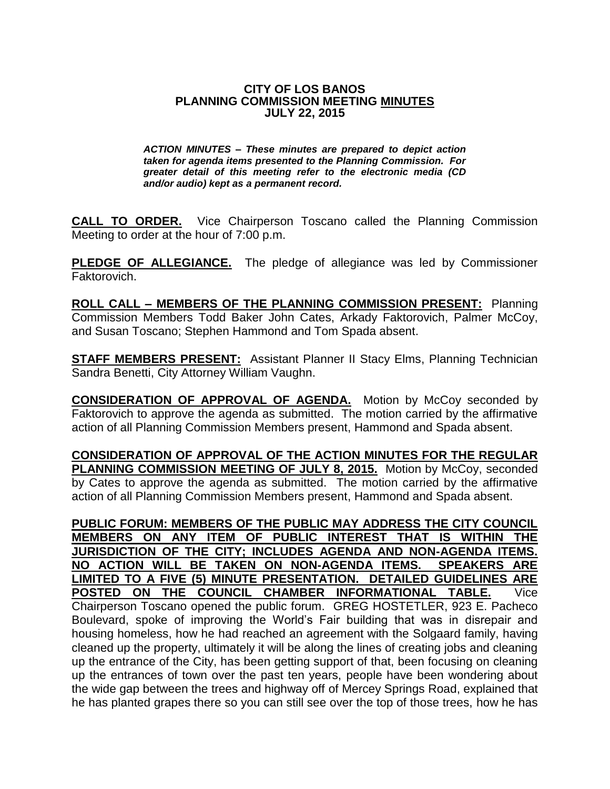#### **CITY OF LOS BANOS PLANNING COMMISSION MEETING MINUTES JULY 22, 2015**

*ACTION MINUTES – These minutes are prepared to depict action taken for agenda items presented to the Planning Commission. For greater detail of this meeting refer to the electronic media (CD and/or audio) kept as a permanent record.*

**CALL TO ORDER.** Vice Chairperson Toscano called the Planning Commission Meeting to order at the hour of 7:00 p.m.

**PLEDGE OF ALLEGIANCE.** The pledge of allegiance was led by Commissioner Faktorovich.

**ROLL CALL – MEMBERS OF THE PLANNING COMMISSION PRESENT:** Planning Commission Members Todd Baker John Cates, Arkady Faktorovich, Palmer McCoy, and Susan Toscano; Stephen Hammond and Tom Spada absent.

**STAFF MEMBERS PRESENT:** Assistant Planner II Stacy Elms, Planning Technician Sandra Benetti, City Attorney William Vaughn.

**CONSIDERATION OF APPROVAL OF AGENDA.** Motion by McCoy seconded by Faktorovich to approve the agenda as submitted. The motion carried by the affirmative action of all Planning Commission Members present, Hammond and Spada absent.

**CONSIDERATION OF APPROVAL OF THE ACTION MINUTES FOR THE REGULAR PLANNING COMMISSION MEETING OF JULY 8, 2015.** Motion by McCoy, seconded by Cates to approve the agenda as submitted. The motion carried by the affirmative action of all Planning Commission Members present, Hammond and Spada absent.

**PUBLIC FORUM: MEMBERS OF THE PUBLIC MAY ADDRESS THE CITY COUNCIL MEMBERS ON ANY ITEM OF PUBLIC INTEREST THAT IS WITHIN THE JURISDICTION OF THE CITY; INCLUDES AGENDA AND NON-AGENDA ITEMS. NO ACTION WILL BE TAKEN ON NON-AGENDA ITEMS. SPEAKERS ARE LIMITED TO A FIVE (5) MINUTE PRESENTATION. DETAILED GUIDELINES ARE POSTED ON THE COUNCIL CHAMBER INFORMATIONAL TABLE.** Vice Chairperson Toscano opened the public forum. GREG HOSTETLER, 923 E. Pacheco Boulevard, spoke of improving the World's Fair building that was in disrepair and housing homeless, how he had reached an agreement with the Solgaard family, having cleaned up the property, ultimately it will be along the lines of creating jobs and cleaning up the entrance of the City, has been getting support of that, been focusing on cleaning up the entrances of town over the past ten years, people have been wondering about the wide gap between the trees and highway off of Mercey Springs Road, explained that he has planted grapes there so you can still see over the top of those trees, how he has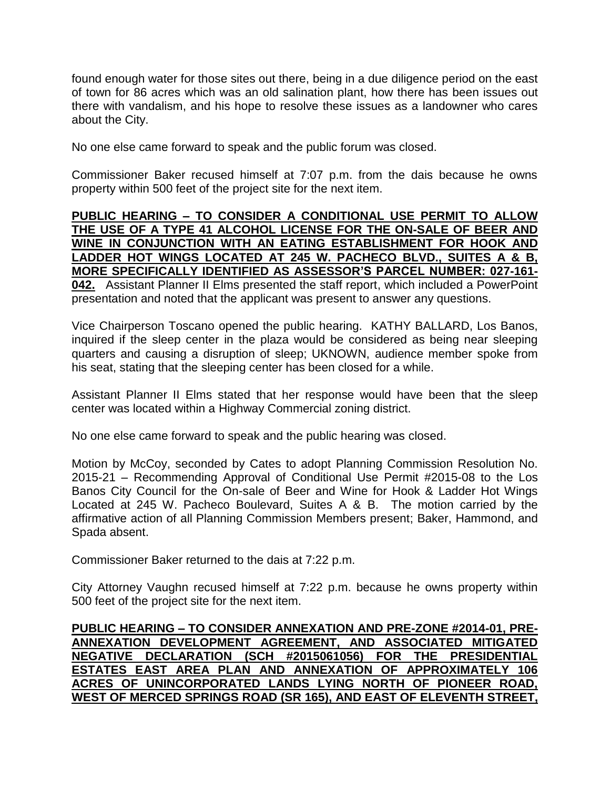found enough water for those sites out there, being in a due diligence period on the east of town for 86 acres which was an old salination plant, how there has been issues out there with vandalism, and his hope to resolve these issues as a landowner who cares about the City.

No one else came forward to speak and the public forum was closed.

Commissioner Baker recused himself at 7:07 p.m. from the dais because he owns property within 500 feet of the project site for the next item.

#### **PUBLIC HEARING – TO CONSIDER A CONDITIONAL USE PERMIT TO ALLOW THE USE OF A TYPE 41 ALCOHOL LICENSE FOR THE ON-SALE OF BEER AND WINE IN CONJUNCTION WITH AN EATING ESTABLISHMENT FOR HOOK AND LADDER HOT WINGS LOCATED AT 245 W. PACHECO BLVD., SUITES A & B, MORE SPECIFICALLY IDENTIFIED AS ASSESSOR'S PARCEL NUMBER: 027-161- 042.** Assistant Planner II Elms presented the staff report, which included a PowerPoint presentation and noted that the applicant was present to answer any questions.

Vice Chairperson Toscano opened the public hearing. KATHY BALLARD, Los Banos, inquired if the sleep center in the plaza would be considered as being near sleeping quarters and causing a disruption of sleep; UKNOWN, audience member spoke from his seat, stating that the sleeping center has been closed for a while.

Assistant Planner II Elms stated that her response would have been that the sleep center was located within a Highway Commercial zoning district.

No one else came forward to speak and the public hearing was closed.

Motion by McCoy, seconded by Cates to adopt Planning Commission Resolution No. 2015-21 – Recommending Approval of Conditional Use Permit #2015-08 to the Los Banos City Council for the On-sale of Beer and Wine for Hook & Ladder Hot Wings Located at 245 W. Pacheco Boulevard, Suites A & B. The motion carried by the affirmative action of all Planning Commission Members present; Baker, Hammond, and Spada absent.

Commissioner Baker returned to the dais at 7:22 p.m.

City Attorney Vaughn recused himself at 7:22 p.m. because he owns property within 500 feet of the project site for the next item.

# **PUBLIC HEARING – TO CONSIDER ANNEXATION AND PRE-ZONE #2014-01, PRE-ANNEXATION DEVELOPMENT AGREEMENT, AND ASSOCIATED MITIGATED NEGATIVE DECLARATION (SCH #2015061056) FOR THE PRESIDENTIAL ESTATES EAST AREA PLAN AND ANNEXATION OF APPROXIMATELY 106 ACRES OF UNINCORPORATED LANDS LYING NORTH OF PIONEER ROAD, WEST OF MERCED SPRINGS ROAD (SR 165), AND EAST OF ELEVENTH STREET,**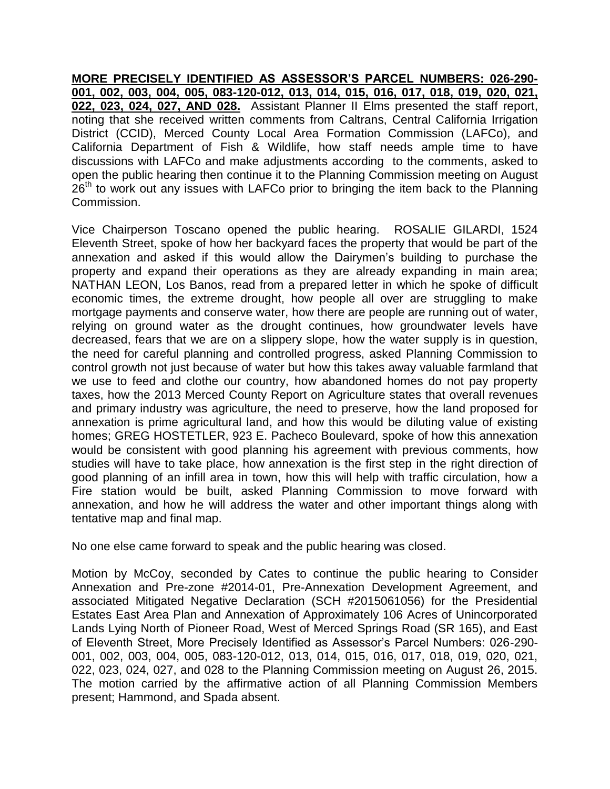**MORE PRECISELY IDENTIFIED AS ASSESSOR'S PARCEL NUMBERS: 026-290- 001, 002, 003, 004, 005, 083-120-012, 013, 014, 015, 016, 017, 018, 019, 020, 021, 022, 023, 024, 027, AND 028.** Assistant Planner II Elms presented the staff report, noting that she received written comments from Caltrans, Central California Irrigation District (CCID), Merced County Local Area Formation Commission (LAFCo), and California Department of Fish & Wildlife, how staff needs ample time to have discussions with LAFCo and make adjustments according to the comments, asked to open the public hearing then continue it to the Planning Commission meeting on August  $26<sup>th</sup>$  to work out any issues with LAFCo prior to bringing the item back to the Planning Commission.

Vice Chairperson Toscano opened the public hearing. ROSALIE GILARDI, 1524 Eleventh Street, spoke of how her backyard faces the property that would be part of the annexation and asked if this would allow the Dairymen's building to purchase the property and expand their operations as they are already expanding in main area; NATHAN LEON, Los Banos, read from a prepared letter in which he spoke of difficult economic times, the extreme drought, how people all over are struggling to make mortgage payments and conserve water, how there are people are running out of water, relying on ground water as the drought continues, how groundwater levels have decreased, fears that we are on a slippery slope, how the water supply is in question, the need for careful planning and controlled progress, asked Planning Commission to control growth not just because of water but how this takes away valuable farmland that we use to feed and clothe our country, how abandoned homes do not pay property taxes, how the 2013 Merced County Report on Agriculture states that overall revenues and primary industry was agriculture, the need to preserve, how the land proposed for annexation is prime agricultural land, and how this would be diluting value of existing homes; GREG HOSTETLER, 923 E. Pacheco Boulevard, spoke of how this annexation would be consistent with good planning his agreement with previous comments, how studies will have to take place, how annexation is the first step in the right direction of good planning of an infill area in town, how this will help with traffic circulation, how a Fire station would be built, asked Planning Commission to move forward with annexation, and how he will address the water and other important things along with tentative map and final map.

No one else came forward to speak and the public hearing was closed.

Motion by McCoy, seconded by Cates to continue the public hearing to Consider Annexation and Pre-zone #2014-01, Pre-Annexation Development Agreement, and associated Mitigated Negative Declaration (SCH #2015061056) for the Presidential Estates East Area Plan and Annexation of Approximately 106 Acres of Unincorporated Lands Lying North of Pioneer Road, West of Merced Springs Road (SR 165), and East of Eleventh Street, More Precisely Identified as Assessor's Parcel Numbers: 026-290- 001, 002, 003, 004, 005, 083-120-012, 013, 014, 015, 016, 017, 018, 019, 020, 021, 022, 023, 024, 027, and 028 to the Planning Commission meeting on August 26, 2015. The motion carried by the affirmative action of all Planning Commission Members present; Hammond, and Spada absent.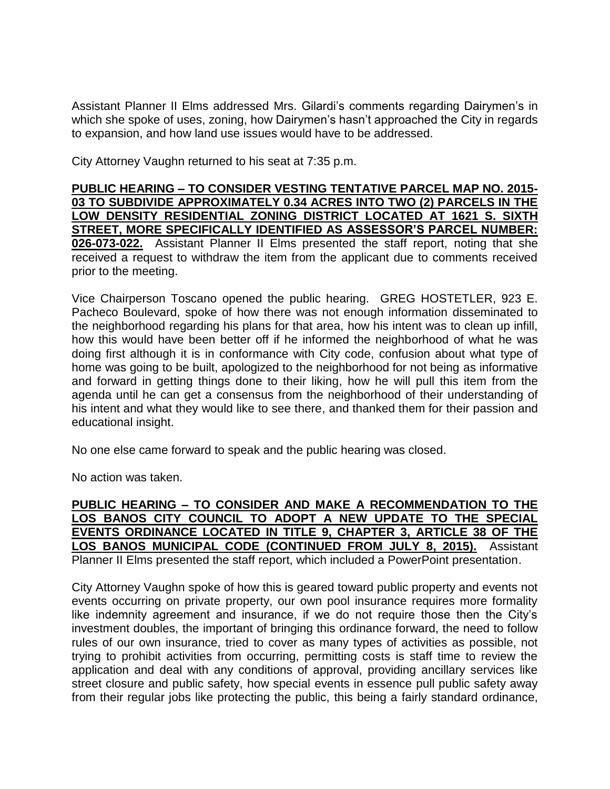Assistant Planner II Elms addressed Mrs. Gilardi's comments regarding Dairymen's in which she spoke of uses, zoning, how Dairymen's hasn't approached the City in regards to expansion, and how land use issues would have to be addressed.

City Attorney Vaughn returned to his seat at 7:35 p.m.

# **PUBLIC HEARING – TO CONSIDER VESTING TENTATIVE PARCEL MAP NO. 2015- 03 TO SUBDIVIDE APPROXIMATELY 0.34 ACRES INTO TWO (2) PARCELS IN THE LOW DENSITY RESIDENTIAL ZONING DISTRICT LOCATED AT 1621 S. SIXTH STREET, MORE SPECIFICALLY IDENTIFIED AS ASSESSOR'S PARCEL NUMBER: 026-073-022.** Assistant Planner II Elms presented the staff report, noting that she received a request to withdraw the item from the applicant due to comments received prior to the meeting.

Vice Chairperson Toscano opened the public hearing. GREG HOSTETLER, 923 E. Pacheco Boulevard, spoke of how there was not enough information disseminated to the neighborhood regarding his plans for that area, how his intent was to clean up infill, how this would have been better off if he informed the neighborhood of what he was doing first although it is in conformance with City code, confusion about what type of home was going to be built, apologized to the neighborhood for not being as informative and forward in getting things done to their liking, how he will pull this item from the agenda until he can get a consensus from the neighborhood of their understanding of his intent and what they would like to see there, and thanked them for their passion and educational insight.

No one else came forward to speak and the public hearing was closed.

No action was taken.

**PUBLIC HEARING – TO CONSIDER AND MAKE A RECOMMENDATION TO THE LOS BANOS CITY COUNCIL TO ADOPT A NEW UPDATE TO THE SPECIAL EVENTS ORDINANCE LOCATED IN TITLE 9, CHAPTER 3, ARTICLE 38 OF THE LOS BANOS MUNICIPAL CODE (CONTINUED FROM JULY 8, 2015).** Assistant Planner II Elms presented the staff report, which included a PowerPoint presentation.

City Attorney Vaughn spoke of how this is geared toward public property and events not events occurring on private property, our own pool insurance requires more formality like indemnity agreement and insurance, if we do not require those then the City's investment doubles, the important of bringing this ordinance forward, the need to follow rules of our own insurance, tried to cover as many types of activities as possible, not trying to prohibit activities from occurring, permitting costs is staff time to review the application and deal with any conditions of approval, providing ancillary services like street closure and public safety, how special events in essence pull public safety away from their regular jobs like protecting the public, this being a fairly standard ordinance,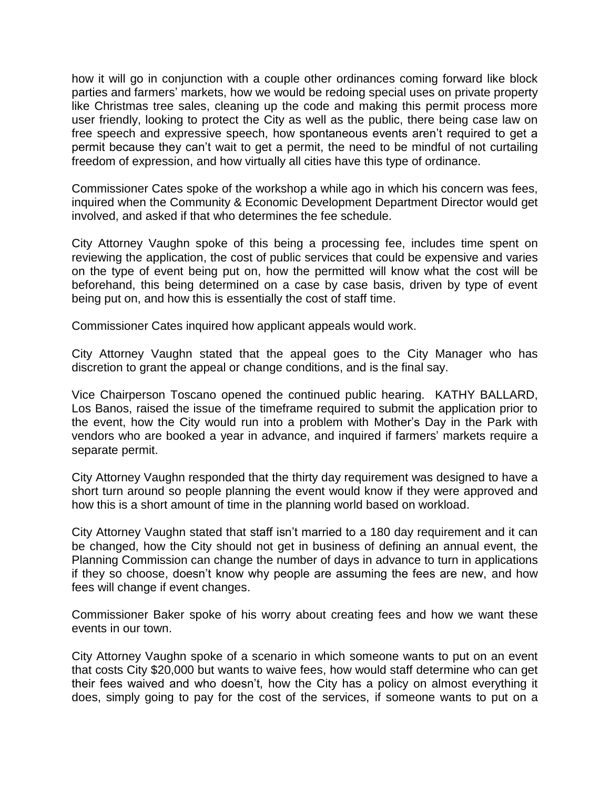how it will go in conjunction with a couple other ordinances coming forward like block parties and farmers' markets, how we would be redoing special uses on private property like Christmas tree sales, cleaning up the code and making this permit process more user friendly, looking to protect the City as well as the public, there being case law on free speech and expressive speech, how spontaneous events aren't required to get a permit because they can't wait to get a permit, the need to be mindful of not curtailing freedom of expression, and how virtually all cities have this type of ordinance.

Commissioner Cates spoke of the workshop a while ago in which his concern was fees, inquired when the Community & Economic Development Department Director would get involved, and asked if that who determines the fee schedule.

City Attorney Vaughn spoke of this being a processing fee, includes time spent on reviewing the application, the cost of public services that could be expensive and varies on the type of event being put on, how the permitted will know what the cost will be beforehand, this being determined on a case by case basis, driven by type of event being put on, and how this is essentially the cost of staff time.

Commissioner Cates inquired how applicant appeals would work.

City Attorney Vaughn stated that the appeal goes to the City Manager who has discretion to grant the appeal or change conditions, and is the final say.

Vice Chairperson Toscano opened the continued public hearing. KATHY BALLARD, Los Banos, raised the issue of the timeframe required to submit the application prior to the event, how the City would run into a problem with Mother's Day in the Park with vendors who are booked a year in advance, and inquired if farmers' markets require a separate permit.

City Attorney Vaughn responded that the thirty day requirement was designed to have a short turn around so people planning the event would know if they were approved and how this is a short amount of time in the planning world based on workload.

City Attorney Vaughn stated that staff isn't married to a 180 day requirement and it can be changed, how the City should not get in business of defining an annual event, the Planning Commission can change the number of days in advance to turn in applications if they so choose, doesn't know why people are assuming the fees are new, and how fees will change if event changes.

Commissioner Baker spoke of his worry about creating fees and how we want these events in our town.

City Attorney Vaughn spoke of a scenario in which someone wants to put on an event that costs City \$20,000 but wants to waive fees, how would staff determine who can get their fees waived and who doesn't, how the City has a policy on almost everything it does, simply going to pay for the cost of the services, if someone wants to put on a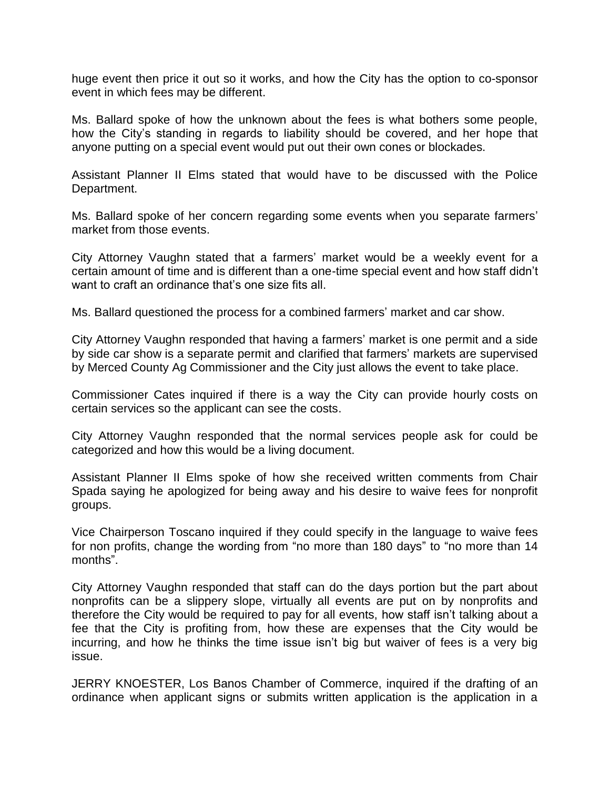huge event then price it out so it works, and how the City has the option to co-sponsor event in which fees may be different.

Ms. Ballard spoke of how the unknown about the fees is what bothers some people, how the City's standing in regards to liability should be covered, and her hope that anyone putting on a special event would put out their own cones or blockades.

Assistant Planner II Elms stated that would have to be discussed with the Police Department.

Ms. Ballard spoke of her concern regarding some events when you separate farmers' market from those events.

City Attorney Vaughn stated that a farmers' market would be a weekly event for a certain amount of time and is different than a one-time special event and how staff didn't want to craft an ordinance that's one size fits all.

Ms. Ballard questioned the process for a combined farmers' market and car show.

City Attorney Vaughn responded that having a farmers' market is one permit and a side by side car show is a separate permit and clarified that farmers' markets are supervised by Merced County Ag Commissioner and the City just allows the event to take place.

Commissioner Cates inquired if there is a way the City can provide hourly costs on certain services so the applicant can see the costs.

City Attorney Vaughn responded that the normal services people ask for could be categorized and how this would be a living document.

Assistant Planner II Elms spoke of how she received written comments from Chair Spada saying he apologized for being away and his desire to waive fees for nonprofit groups.

Vice Chairperson Toscano inquired if they could specify in the language to waive fees for non profits, change the wording from "no more than 180 days" to "no more than 14 months".

City Attorney Vaughn responded that staff can do the days portion but the part about nonprofits can be a slippery slope, virtually all events are put on by nonprofits and therefore the City would be required to pay for all events, how staff isn't talking about a fee that the City is profiting from, how these are expenses that the City would be incurring, and how he thinks the time issue isn't big but waiver of fees is a very big issue.

JERRY KNOESTER, Los Banos Chamber of Commerce, inquired if the drafting of an ordinance when applicant signs or submits written application is the application in a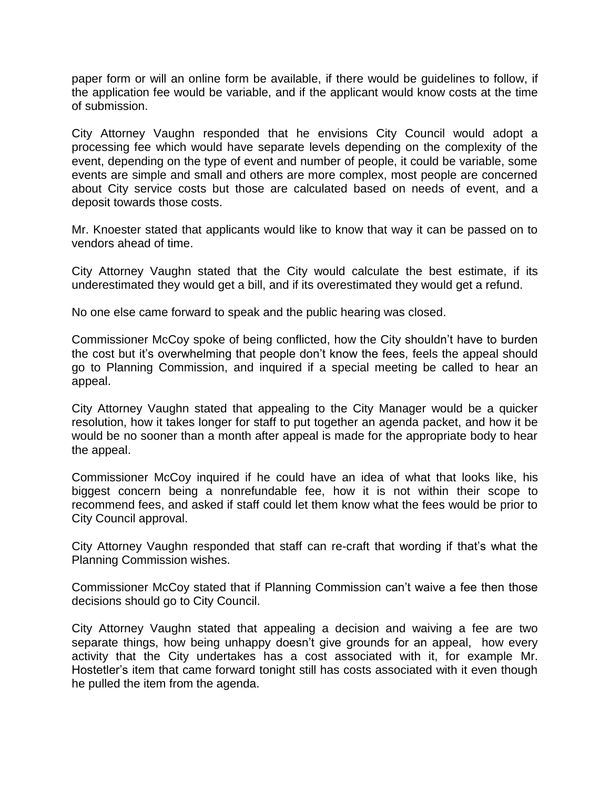paper form or will an online form be available, if there would be guidelines to follow, if the application fee would be variable, and if the applicant would know costs at the time of submission.

City Attorney Vaughn responded that he envisions City Council would adopt a processing fee which would have separate levels depending on the complexity of the event, depending on the type of event and number of people, it could be variable, some events are simple and small and others are more complex, most people are concerned about City service costs but those are calculated based on needs of event, and a deposit towards those costs.

Mr. Knoester stated that applicants would like to know that way it can be passed on to vendors ahead of time.

City Attorney Vaughn stated that the City would calculate the best estimate, if its underestimated they would get a bill, and if its overestimated they would get a refund.

No one else came forward to speak and the public hearing was closed.

Commissioner McCoy spoke of being conflicted, how the City shouldn't have to burden the cost but it's overwhelming that people don't know the fees, feels the appeal should go to Planning Commission, and inquired if a special meeting be called to hear an appeal.

City Attorney Vaughn stated that appealing to the City Manager would be a quicker resolution, how it takes longer for staff to put together an agenda packet, and how it be would be no sooner than a month after appeal is made for the appropriate body to hear the appeal.

Commissioner McCoy inquired if he could have an idea of what that looks like, his biggest concern being a nonrefundable fee, how it is not within their scope to recommend fees, and asked if staff could let them know what the fees would be prior to City Council approval.

City Attorney Vaughn responded that staff can re-craft that wording if that's what the Planning Commission wishes.

Commissioner McCoy stated that if Planning Commission can't waive a fee then those decisions should go to City Council.

City Attorney Vaughn stated that appealing a decision and waiving a fee are two separate things, how being unhappy doesn't give grounds for an appeal, how every activity that the City undertakes has a cost associated with it, for example Mr. Hostetler's item that came forward tonight still has costs associated with it even though he pulled the item from the agenda.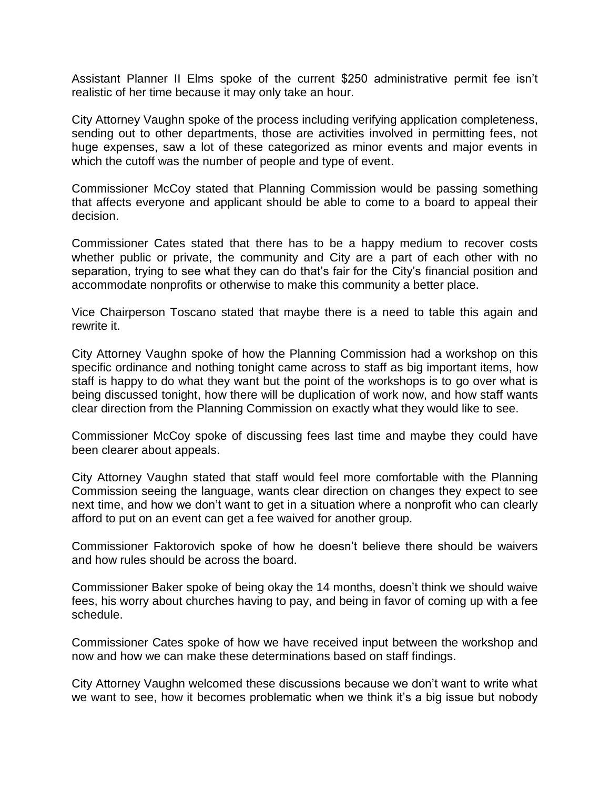Assistant Planner II Elms spoke of the current \$250 administrative permit fee isn't realistic of her time because it may only take an hour.

City Attorney Vaughn spoke of the process including verifying application completeness, sending out to other departments, those are activities involved in permitting fees, not huge expenses, saw a lot of these categorized as minor events and major events in which the cutoff was the number of people and type of event.

Commissioner McCoy stated that Planning Commission would be passing something that affects everyone and applicant should be able to come to a board to appeal their decision.

Commissioner Cates stated that there has to be a happy medium to recover costs whether public or private, the community and City are a part of each other with no separation, trying to see what they can do that's fair for the City's financial position and accommodate nonprofits or otherwise to make this community a better place.

Vice Chairperson Toscano stated that maybe there is a need to table this again and rewrite it.

City Attorney Vaughn spoke of how the Planning Commission had a workshop on this specific ordinance and nothing tonight came across to staff as big important items, how staff is happy to do what they want but the point of the workshops is to go over what is being discussed tonight, how there will be duplication of work now, and how staff wants clear direction from the Planning Commission on exactly what they would like to see.

Commissioner McCoy spoke of discussing fees last time and maybe they could have been clearer about appeals.

City Attorney Vaughn stated that staff would feel more comfortable with the Planning Commission seeing the language, wants clear direction on changes they expect to see next time, and how we don't want to get in a situation where a nonprofit who can clearly afford to put on an event can get a fee waived for another group.

Commissioner Faktorovich spoke of how he doesn't believe there should be waivers and how rules should be across the board.

Commissioner Baker spoke of being okay the 14 months, doesn't think we should waive fees, his worry about churches having to pay, and being in favor of coming up with a fee schedule.

Commissioner Cates spoke of how we have received input between the workshop and now and how we can make these determinations based on staff findings.

City Attorney Vaughn welcomed these discussions because we don't want to write what we want to see, how it becomes problematic when we think it's a big issue but nobody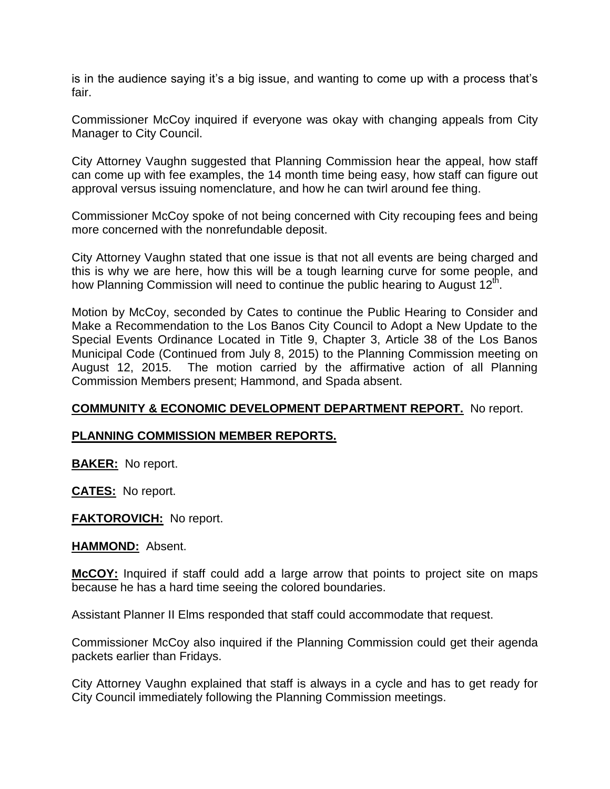is in the audience saying it's a big issue, and wanting to come up with a process that's fair.

Commissioner McCoy inquired if everyone was okay with changing appeals from City Manager to City Council.

City Attorney Vaughn suggested that Planning Commission hear the appeal, how staff can come up with fee examples, the 14 month time being easy, how staff can figure out approval versus issuing nomenclature, and how he can twirl around fee thing.

Commissioner McCoy spoke of not being concerned with City recouping fees and being more concerned with the nonrefundable deposit.

City Attorney Vaughn stated that one issue is that not all events are being charged and this is why we are here, how this will be a tough learning curve for some people, and how Planning Commission will need to continue the public hearing to August  $12^{th}$ .

Motion by McCoy, seconded by Cates to continue the Public Hearing to Consider and Make a Recommendation to the Los Banos City Council to Adopt a New Update to the Special Events Ordinance Located in Title 9, Chapter 3, Article 38 of the Los Banos Municipal Code (Continued from July 8, 2015) to the Planning Commission meeting on August 12, 2015. The motion carried by the affirmative action of all Planning Commission Members present; Hammond, and Spada absent.

# **COMMUNITY & ECONOMIC DEVELOPMENT DEPARTMENT REPORT.** No report.

# **PLANNING COMMISSION MEMBER REPORTS.**

**BAKER:** No report.

**CATES:** No report.

#### **FAKTOROVICH:** No report.

**HAMMOND:** Absent.

**McCOY:** Inquired if staff could add a large arrow that points to project site on maps because he has a hard time seeing the colored boundaries.

Assistant Planner II Elms responded that staff could accommodate that request.

Commissioner McCoy also inquired if the Planning Commission could get their agenda packets earlier than Fridays.

City Attorney Vaughn explained that staff is always in a cycle and has to get ready for City Council immediately following the Planning Commission meetings.